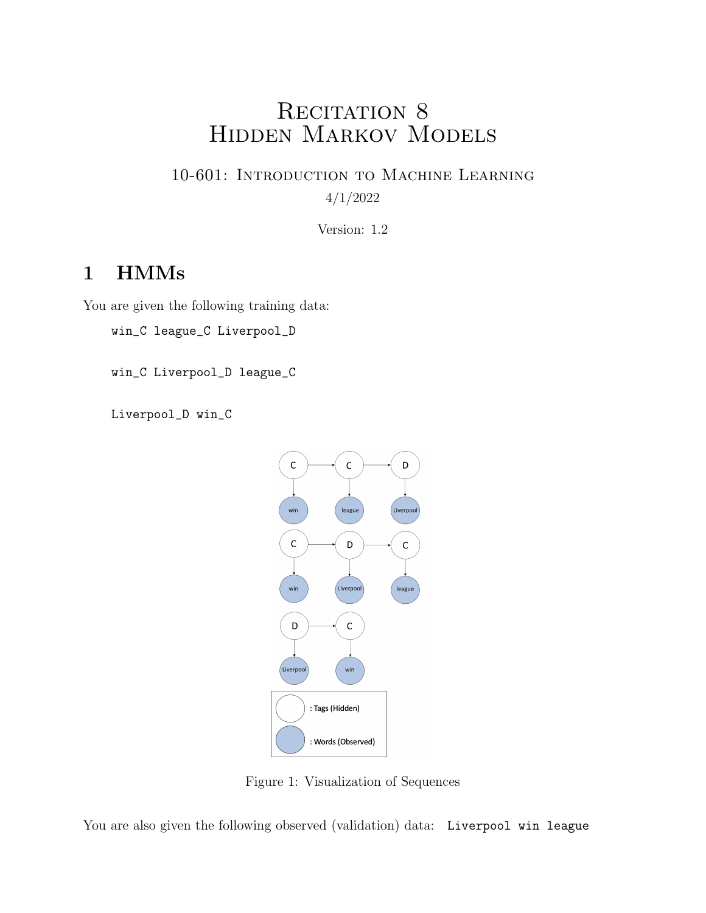# RECITATION 8 Hidden Markov Models

10-601: Introduction to Machine Learning 4/1/2022

Version: 1.2

## 1 HMMs

You are given the following training data:

win\_C league\_C Liverpool\_D

win\_C Liverpool\_D league\_C

Liverpool\_D win\_C



Figure 1: Visualization of Sequences

You are also given the following observed (validation) data: Liverpool win league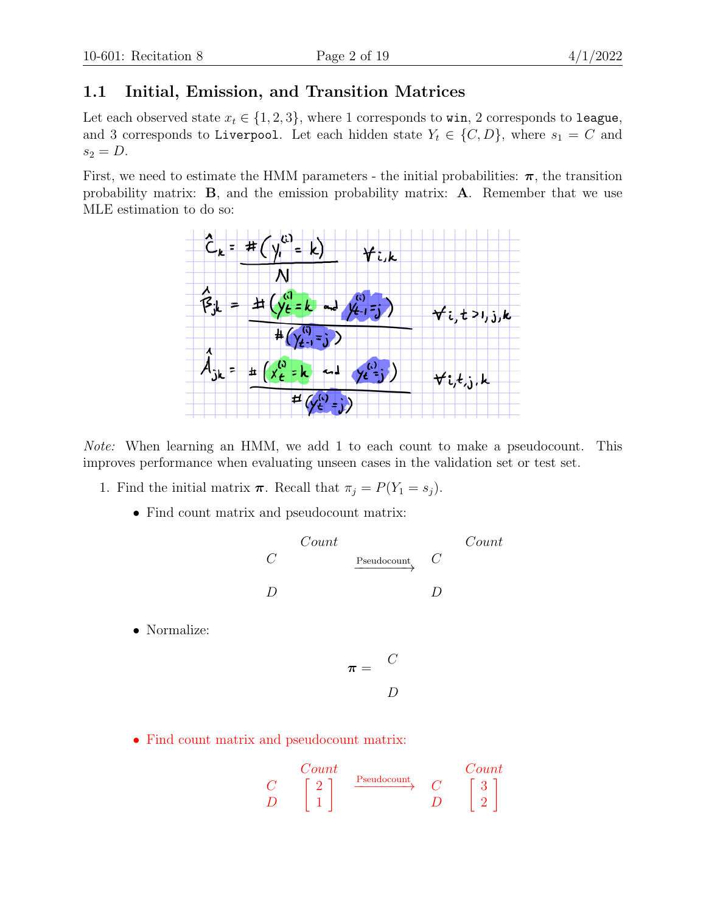### 1.1 Initial, Emission, and Transition Matrices

Let each observed state  $x_t \in \{1, 2, 3\}$ , where 1 corresponds to win, 2 corresponds to league, and 3 corresponds to Liverpool. Let each hidden state  $Y_t \in \{C, D\}$ , where  $s_1 = C$  and  $s_2 = D$ .

First, we need to estimate the HMM parameters - the initial probabilities:  $\pi$ , the transition probability matrix: B, and the emission probability matrix: A. Remember that we use MLE estimation to do so:



Note: When learning an HMM, we add 1 to each count to make a pseudocount. This improves performance when evaluating unseen cases in the validation set or test set.

- 1. Find the initial matrix  $\boldsymbol{\pi}$ . Recall that  $\pi_j = P(Y_1 = s_j)$ .
	- Find count matrix and pseudocount matrix:

$$
\begin{array}{ccc}\n & & \text{Count} & \\
C & & \xrightarrow{\text{Pseudocount}} & C \\
D & & D & \n\end{array}
$$

• Normalize:

$$
\pi = \begin{array}{cc} C \\ D \end{array}
$$

• Find count matrix and pseudocount matrix:

$$
\begin{array}{ccccc}\n & Comt & & Count & & Count\\ \nC & \left[\begin{array}{c}2\\1\end{array}\right] & \xrightarrow{\text{Pseudocount}} & C & \left[\begin{array}{c}3\\2\end{array}\right] \end{array}
$$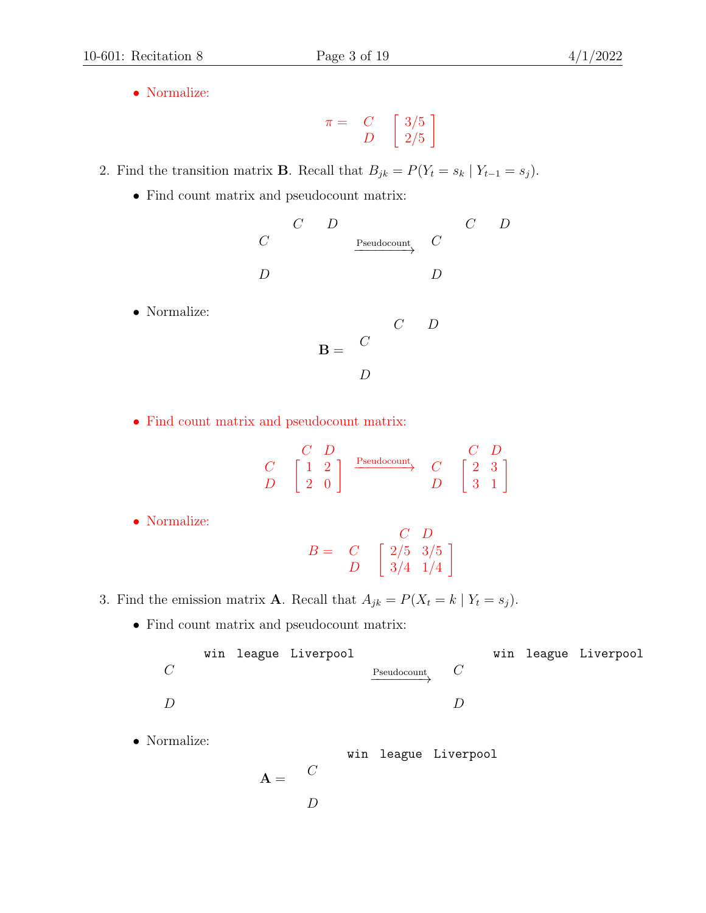• Normalize:

$$
\pi = \begin{array}{cc} C \\ D \end{array} \left[ \begin{array}{c} 3/5 \\ 2/5 \end{array} \right]
$$

- 2. Find the transition matrix **B**. Recall that  $B_{jk} = P(Y_t = s_k | Y_{t-1} = s_j)$ .
	- Find count matrix and pseudocount matrix:

|            | $\mathcal{C}$ | $\left( \right)$ |                             | C | $\prime$ |
|------------|---------------|------------------|-----------------------------|---|----------|
| $\epsilon$ |               |                  | $Pseudocount$ $C$<br>______ |   |          |
|            |               |                  |                             |   |          |
|            |               |                  |                             |   |          |
|            |               |                  |                             |   |          |

• Normalize:

$$
\mathbf{B} = \begin{pmatrix} C & D \\ C & D \\ D & D \end{pmatrix}
$$

• Find count matrix and pseudocount matrix:

|  | ,, |             |    |   |
|--|----|-------------|----|---|
|  |    | Pseudocount | ٠, | 3 |
|  |    |             | ച  |   |

• Normalize:

$$
B = \begin{array}{cc} & C & D \\ C & \left[ \begin{array}{cc} 2/5 & 3/5 \\ 3/4 & 1/4 \end{array} \right] \end{array}
$$

- 3. Find the emission matrix **A**. Recall that  $A_{jk} = P(X_t = k | Y_t = s_j)$ .
	- Find count matrix and pseudocount matrix:

|              |  | win league Liverpool |                   |  | win league Liverpool |
|--------------|--|----------------------|-------------------|--|----------------------|
| $\mathcal C$ |  |                      | $Pseudocount$ $C$ |  |                      |
|              |  |                      |                   |  |                      |
|              |  |                      |                   |  |                      |
|              |  |                      |                   |  |                      |

• Normalize:

 $A =$ win league Liverpool  $\mathcal{C}$ D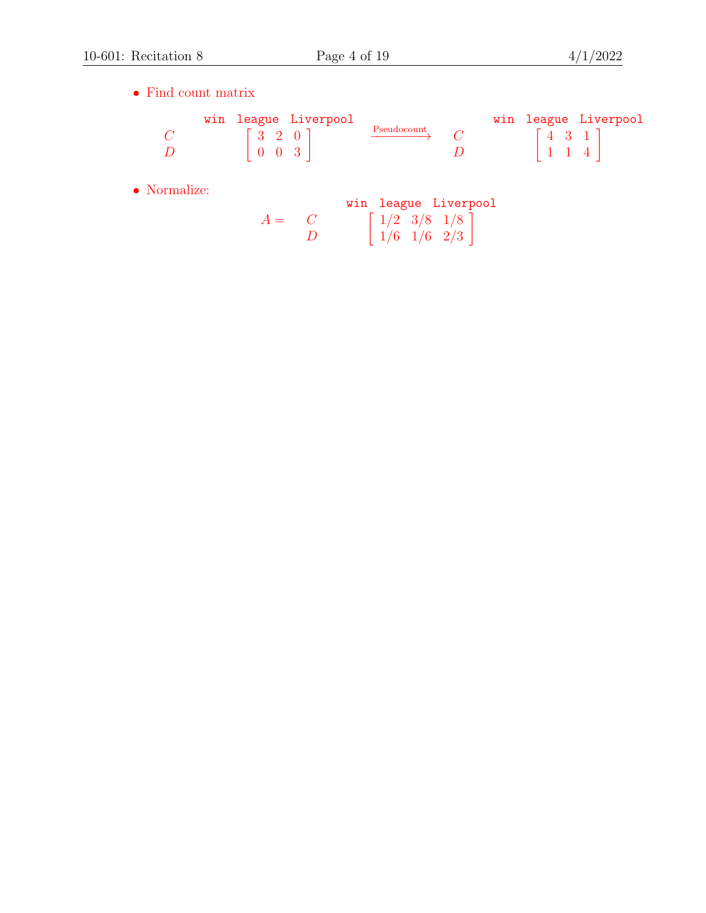$\bullet\,$  Find count matrix

|  |                                           | win league Liverpool |             |  |  | win league Liverpool |
|--|-------------------------------------------|----------------------|-------------|--|--|----------------------|
|  | $\begin{bmatrix} 3 & 2 & 0 \end{bmatrix}$ |                      | Pseudocount |  |  |                      |
|  | 1003'                                     |                      |             |  |  |                      |

• Normalize:

|       |          |                   | win league Liverpool |
|-------|----------|-------------------|----------------------|
| $A =$ |          | $1/2$ 3/8 1/8     |                      |
|       | $\prime$ | $1/6$ $1/6$ $2/3$ |                      |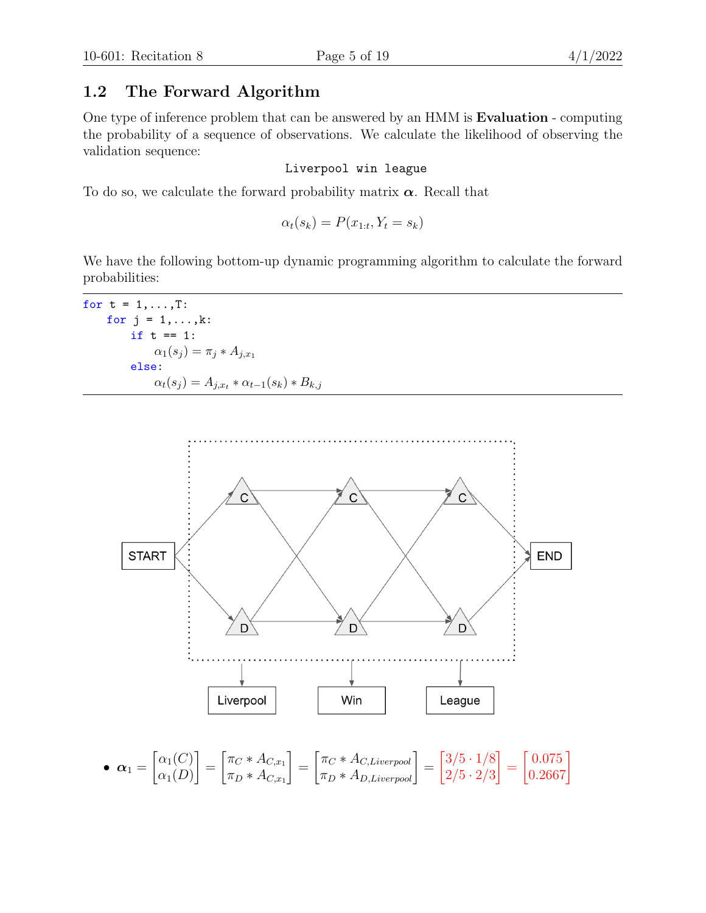#### 1.2 The Forward Algorithm

One type of inference problem that can be answered by an HMM is Evaluation - computing the probability of a sequence of observations. We calculate the likelihood of observing the validation sequence:

#### Liverpool win league

To do so, we calculate the forward probability matrix  $\alpha$ . Recall that

$$
\alpha_t(s_k) = P(x_{1:t}, Y_t = s_k)
$$

We have the following bottom-up dynamic programming algorithm to calculate the forward probabilities:

for  $t = 1, \ldots, T$ : for  $j = 1, \ldots, k$ : if  $t == 1$ :  $\alpha_1(s_j) = \pi_j * A_{j,x_1}$ else:  $\alpha_t(s_j) = A_{j,xt} * \alpha_{t-1}(s_k) * B_{k,j}$ 



• 
$$
\boldsymbol{\alpha}_1 = \begin{bmatrix} \alpha_1(C) \\ \alpha_1(D) \end{bmatrix} = \begin{bmatrix} \pi_C * A_{C,x_1} \\ \pi_D * A_{C,x_1} \end{bmatrix} = \begin{bmatrix} \pi_C * A_{C,Liverpool} \\ \pi_D * A_{D,Liverpool} \end{bmatrix} = \begin{bmatrix} 3/5 \cdot 1/8 \\ 2/5 \cdot 2/3 \end{bmatrix} = \begin{bmatrix} 0.075 \\ 0.2667 \end{bmatrix}
$$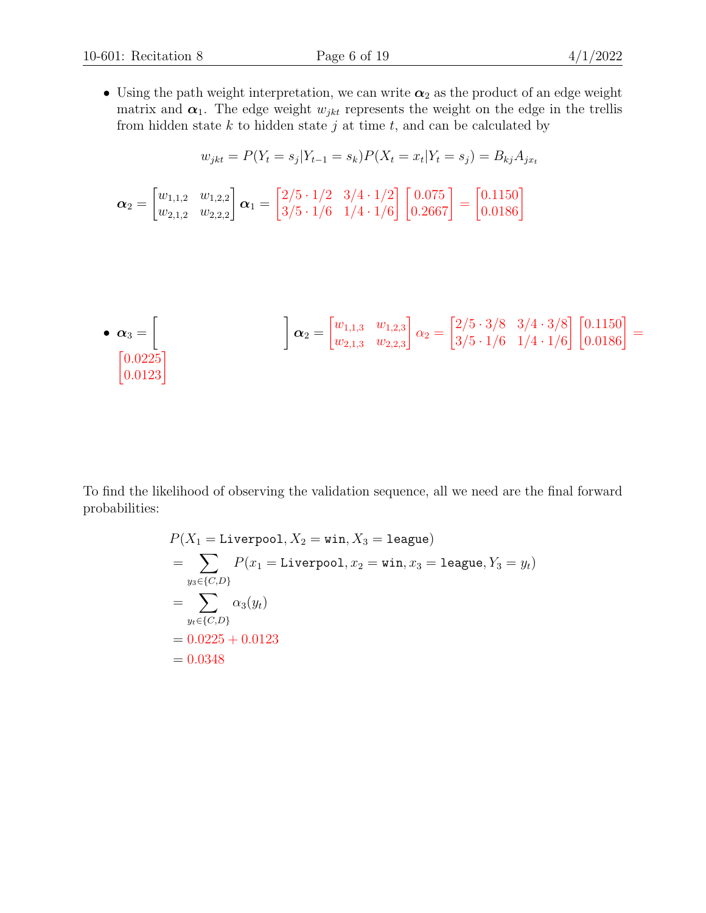• Using the path weight interpretation, we can write  $\alpha_2$  as the product of an edge weight matrix and  $\alpha_1$ . The edge weight  $w_{jkt}$  represents the weight on the edge in the trellis from hidden state  $k$  to hidden state  $j$  at time  $t$ , and can be calculated by

$$
w_{jkt} = P(Y_t = s_j | Y_{t-1} = s_k) P(X_t = x_t | Y_t = s_j) = B_{kj} A_{jx_t}
$$

$$
\boldsymbol{\alpha}_2 = \begin{bmatrix} w_{1,1,2} & w_{1,2,2} \\ w_{2,1,2} & w_{2,2,2} \end{bmatrix} \boldsymbol{\alpha}_1 = \begin{bmatrix} 2/5 & 1/2 & 3/4 & 1/2 \\ 3/5 & 1/6 & 1/4 & 1/6 \end{bmatrix} \begin{bmatrix} 0.075 \\ 0.2667 \end{bmatrix} = \begin{bmatrix} 0.1150 \\ 0.0186 \end{bmatrix}
$$

• 
$$
\alpha_3 = \begin{bmatrix} \\ \alpha_2 = \begin{bmatrix} w_{1,1,3} & w_{1,2,3} \\ w_{2,1,3} & w_{2,2,3} \end{bmatrix} \alpha_2 = \begin{bmatrix} 2/5 \cdot 3/8 & 3/4 \cdot 3/8 \\ 3/5 \cdot 1/6 & 1/4 \cdot 1/6 \end{bmatrix} \begin{bmatrix} 0.1150 \\ 0.0186 \end{bmatrix} = \begin{bmatrix} 0.0225 \\ 0.0123 \end{bmatrix}
$$

To find the likelihood of observing the validation sequence, all we need are the final forward probabilities:

$$
P(X_1 = \text{Livepool}, X_2 = \text{win}, X_3 = \text{league})
$$
  
=  $\sum_{y_3 \in \{C, D\}} P(x_1 = \text{Livepool}, x_2 = \text{win}, x_3 = \text{league}, Y_3 = y_t)$   
=  $\sum_{y_t \in \{C, D\}} \alpha_3(y_t)$   
= 0.0225 + 0.0123  
= 0.0348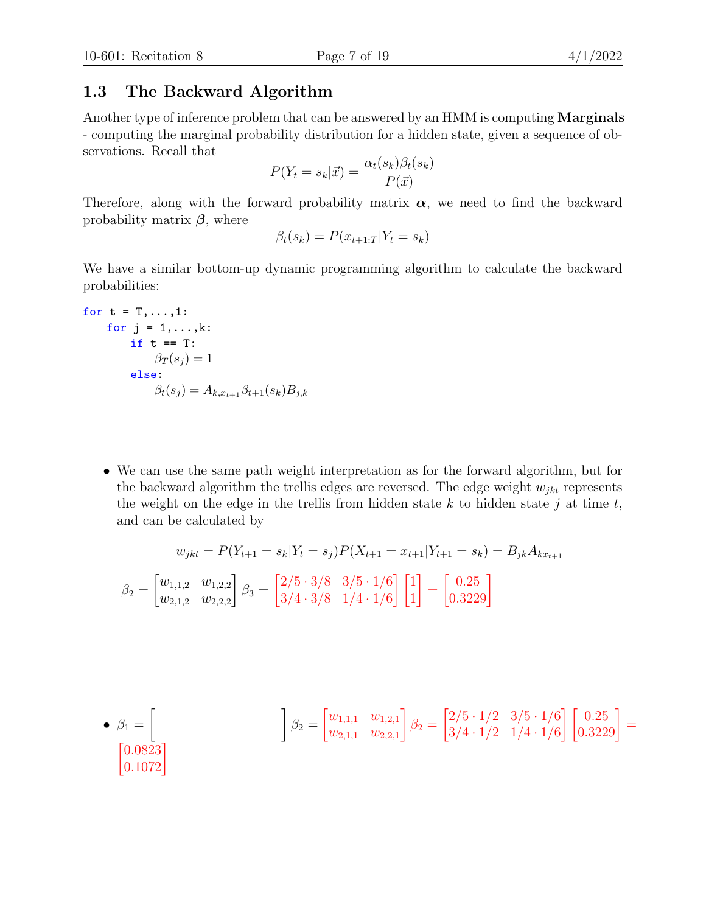#### 1.3 The Backward Algorithm

Another type of inference problem that can be answered by an HMM is computing **Marginals** - computing the marginal probability distribution for a hidden state, given a sequence of observations. Recall that

$$
P(Y_t = s_k | \vec{x}) = \frac{\alpha_t(s_k)\beta_t(s_k)}{P(\vec{x})}
$$

Therefore, along with the forward probability matrix  $\alpha$ , we need to find the backward probability matrix  $\beta$ , where

$$
\beta_t(s_k) = P(x_{t+1:T}|Y_t = s_k)
$$

We have a similar bottom-up dynamic programming algorithm to calculate the backward probabilities:

for  $t = T, \ldots, 1$ : for  $j = 1, \ldots, k$ : if  $t == T$ :  $\beta_T(s_j) = 1$ else:  $\beta_t(s_j) = A_{k,x_{t+1}} \beta_{t+1}(s_k) B_{j,k}$ 

• We can use the same path weight interpretation as for the forward algorithm, but for the backward algorithm the trellis edges are reversed. The edge weight  $w_{jkt}$  represents the weight on the edge in the trellis from hidden state  $k$  to hidden state  $j$  at time  $t$ , and can be calculated by

$$
w_{jkt} = P(Y_{t+1} = s_k | Y_t = s_j) P(X_{t+1} = x_{t+1} | Y_{t+1} = s_k) = B_{jk} A_{kx_{t+1}}
$$

$$
\beta_2 = \begin{bmatrix} w_{1,1,2} & w_{1,2,2} \\ w_{2,1,2} & w_{2,2,2} \end{bmatrix} \beta_3 = \begin{bmatrix} 2/5 \cdot 3/8 & 3/5 \cdot 1/6 \\ 3/4 \cdot 3/8 & 1/4 \cdot 1/6 \end{bmatrix} \begin{bmatrix} 1 \\ 1 \end{bmatrix} = \begin{bmatrix} 0.25 \\ 0.3229 \end{bmatrix}
$$

• 
$$
\beta_1 = \begin{bmatrix} \\ \beta_2 = \begin{bmatrix} w_{1,1,1} & w_{1,2,1} \\ w_{2,1,1} & w_{2,2,1} \end{bmatrix} \beta_2 = \begin{bmatrix} 2/5 \cdot 1/2 & 3/5 \cdot 1/6 \\ 3/4 \cdot 1/2 & 1/4 \cdot 1/6 \end{bmatrix} \begin{bmatrix} 0.25 \\ 0.3229 \end{bmatrix} = \begin{bmatrix} 0.0823 \\ 0.1072 \end{bmatrix}
$$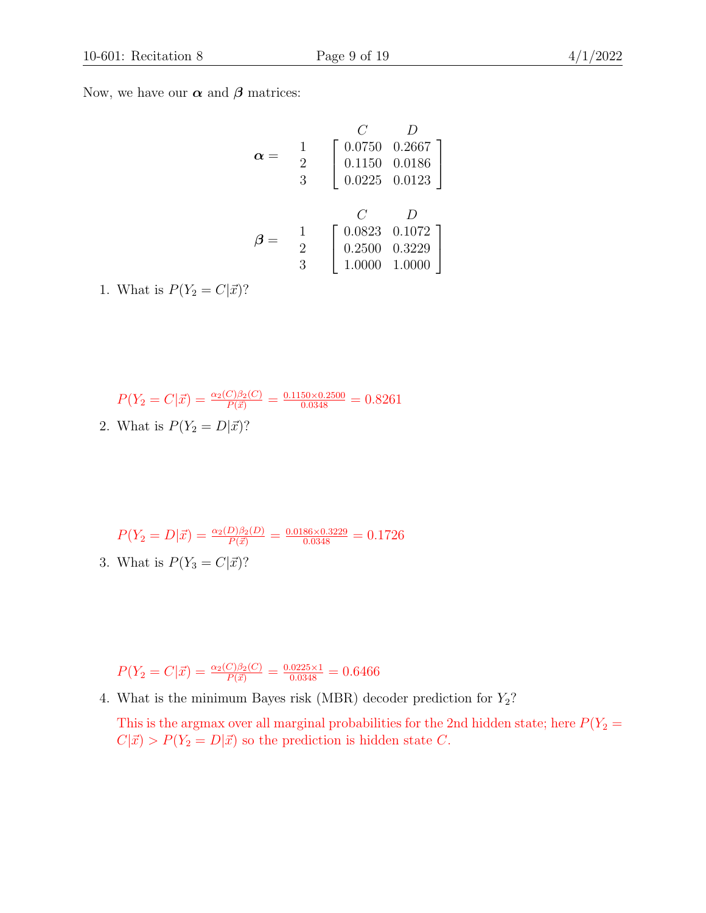Now, we have our  $\alpha$  and  $\beta$  matrices:

$$
\alpha = \begin{array}{c} C & D \\ 1 \\ 2 \\ 3 \end{array} \begin{bmatrix} 0.0750 & 0.2667 \\ 0.1150 & 0.0186 \\ 0.0225 & 0.0123 \end{bmatrix}
$$

$$
\beta = \begin{array}{c} C & D \\ 2 \\ 3 \end{array} \begin{bmatrix} 0.0823 & 0.1072 \\ 0.2500 & 0.3229 \\ 1.0000 & 1.0000 \end{bmatrix}
$$

1. What is  $P(Y_2 = C|\vec{x})$ ?

$$
P(Y_2 = C|\vec{x}) = \frac{\alpha_2(C)\beta_2(C)}{P(\vec{x})} = \frac{0.1150 \times 0.2500}{0.0348} = 0.8261
$$
  
2. What is  $P(Y_2 = D|\vec{x})$ ?

$$
P(Y_2 = D|\vec{x}) = \frac{\alpha_2(D)\beta_2(D)}{P(\vec{x})} = \frac{0.0186 \times 0.3229}{0.0348} = 0.1726
$$
  
3. What is  $P(Y_3 = C|\vec{x})$ ?

$$
P(Y_2 = C|\vec{x}) = \frac{\alpha_2(C)\beta_2(C)}{P(\vec{x})} = \frac{0.0225 \times 1}{0.0348} = 0.6466
$$

4. What is the minimum Bayes risk (MBR) decoder prediction for  $Y_2$ ?

This is the argmax over all marginal probabilities for the 2nd hidden state; here  $P(Y_2 =$  $C|\vec{x}\rangle > P(Y_2 = D|\vec{x}\rangle)$  so the prediction is hidden state C.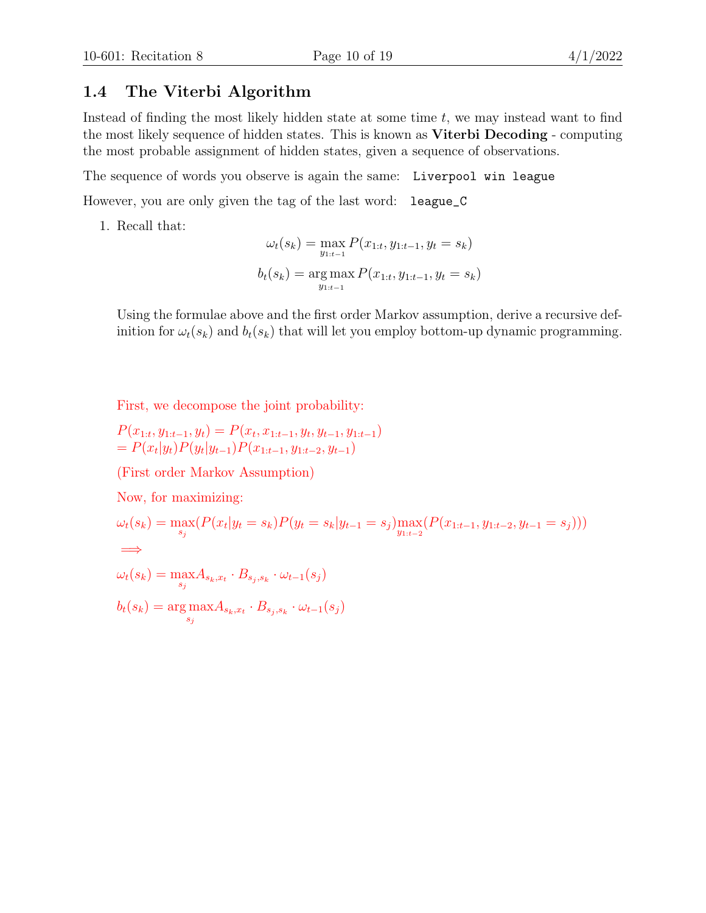#### 1.4 The Viterbi Algorithm

Instead of finding the most likely hidden state at some time  $t$ , we may instead want to find the most likely sequence of hidden states. This is known as Viterbi Decoding - computing the most probable assignment of hidden states, given a sequence of observations.

The sequence of words you observe is again the same: Liverpool win league

However, you are only given the tag of the last word: league\_C

1. Recall that:

$$
\omega_t(s_k) = \max_{y_{1:t-1}} P(x_{1:t}, y_{1:t-1}, y_t = s_k)
$$

$$
b_t(s_k) = \arg \max_{y_{1:t-1}} P(x_{1:t}, y_{1:t-1}, y_t = s_k)
$$

Using the formulae above and the first order Markov assumption, derive a recursive definition for  $\omega_t(s_k)$  and  $b_t(s_k)$  that will let you employ bottom-up dynamic programming.

First, we decompose the joint probability:

$$
P(x_{1:t}, y_{1:t-1}, y_t) = P(x_t, x_{1:t-1}, y_t, y_{t-1}, y_{1:t-1})
$$
  
=  $P(x_t|y_t)P(y_t|y_{t-1})P(x_{1:t-1}, y_{1:t-2}, y_{t-1})$ 

(First order Markov Assumption)

Now, for maximizing:

$$
\omega_t(s_k) = \max_{s_j} (P(x_t|y_t = s_k)P(y_t = s_k|y_{t-1} = s_j) \max_{y_{1:t-2}} (P(x_{1:t-1}, y_{1:t-2}, y_{t-1} = s_j)))
$$
  
\n
$$
\implies
$$
  
\n
$$
\omega_t(s_k) = \max_{s_j} A_{s_k, x_t} \cdot B_{s_j, s_k} \cdot \omega_{t-1}(s_j)
$$
  
\n
$$
b_t(s_k) = \arg \max_{s_j} A_{s_k, x_t} \cdot B_{s_j, s_k} \cdot \omega_{t-1}(s_j)
$$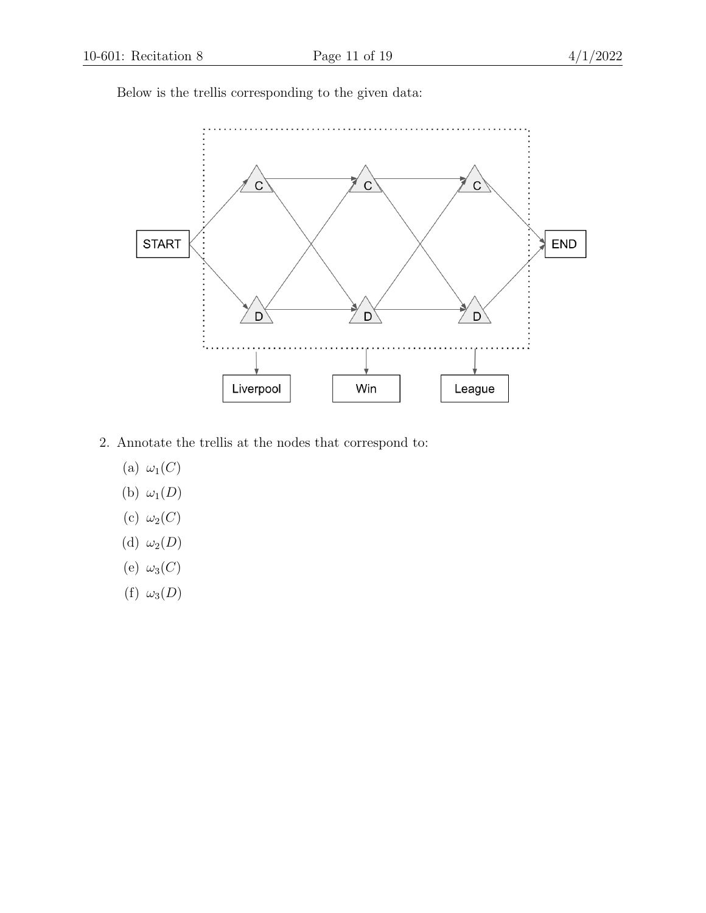Below is the trellis corresponding to the given data:



- 2. Annotate the trellis at the nodes that correspond to:
	- (a)  $\omega_1(C)$
	- (b)  $\omega_1(D)$
	- (c)  $\omega_2(C)$
	- (d)  $\omega_2(D)$
	- (e)  $\omega_3(C)$
	- (f)  $\omega_3(D)$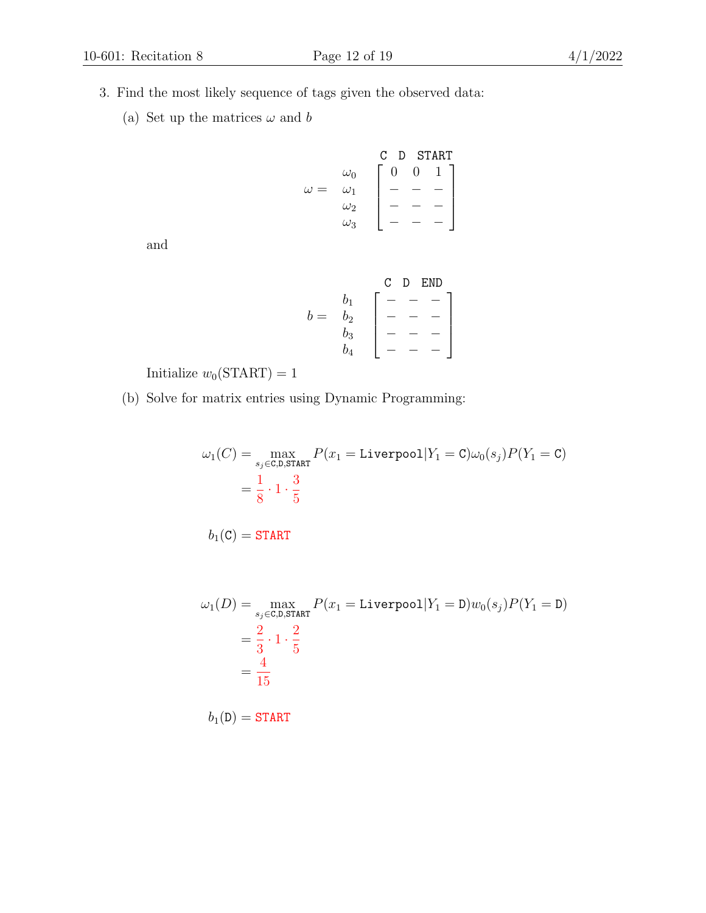- 
- 3. Find the most likely sequence of tags given the observed data:
	- (a) Set up the matrices  $\omega$  and  $b$

$$
\omega = \begin{array}{c} \omega_0 \\ \omega_1 \\ \omega_2 \\ \omega_3 \end{array} \left[\begin{array}{rrrr} \text{C} & \text{D} & \text{START} \\ \text{O} & 0 & 1 \\ \text{I} & - & - \\ \text{I} & - & - \\ \text{I} & - & - \end{array}\right]
$$

and

$$
b = \begin{array}{cc} & C & D & END \\ b_1 & \left[ \begin{array}{cc} - & - & - \\ - & - & - \\ b_3 & \left[ \begin{array}{cc} - & - & - \\ - & - & - \\ - & - & - \end{array}\right] \end{array} \right] \\ b_4
$$

Initialize  $w_0(\text{START}) = 1$ 

(b) Solve for matrix entries using Dynamic Programming:

$$
\omega_1(C) = \max_{s_j \in C, \text{D,START}} P(x_1 = \text{Liverpool}|Y_1 = \text{C}) \omega_0(s_j) P(Y_1 = \text{C})
$$

$$
= \frac{1}{8} \cdot 1 \cdot \frac{3}{5}
$$

 $b_1(C) = \text{START}$ 

$$
\omega_1(D) = \max_{s_j \in \text{C,D}, \text{START}} P(x_1 = \text{Liverpool}|Y_1 = \text{D}) w_0(s_j) P(Y_1 = \text{D})
$$

$$
= \frac{2}{3} \cdot 1 \cdot \frac{2}{5}
$$

$$
= \frac{4}{15}
$$

 $b_1(D) = \text{START}$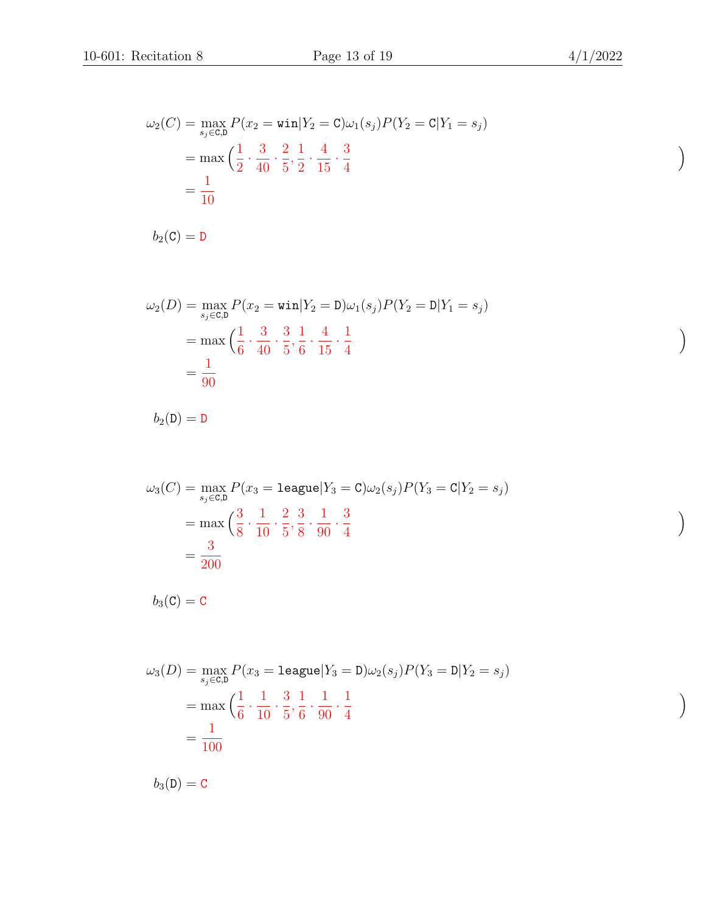$\setminus$ 

 $\setminus$ 

 $\setminus$ 

 $\setminus$ 

$$
\omega_2(C) = \max_{s_j \in C, D} P(x_2 = \text{win}|Y_2 = C)\omega_1(s_j)P(Y_2 = C|Y_1 = s_j)
$$
  
= 
$$
\max \left( \frac{1}{2} \cdot \frac{3}{40} \cdot \frac{2}{5}, \frac{1}{2} \cdot \frac{4}{15} \cdot \frac{3}{4} \right)
$$
  
= 
$$
\frac{1}{10}
$$

 $b_2(\mathbf{C}) = \mathbf{D}$ 

$$
\omega_2(D) = \max_{s_j \in C, D} P(x_2 = \text{win}|Y_2 = D)\omega_1(s_j)P(Y_2 = D|Y_1 = s_j)
$$
  
= 
$$
\max\left(\frac{1}{6} \cdot \frac{3}{40} \cdot \frac{3}{5}, \frac{1}{6} \cdot \frac{4}{15} \cdot \frac{1}{4}\right)
$$
  
= 
$$
\frac{1}{90}
$$

 $b_2(D) = D$ 

$$
\omega_3(C) = \max_{s_j \in C, D} P(x_3 = \text{league}|Y_3 = C)\omega_2(s_j)P(Y_3 = C|Y_2 = s_j)
$$
  
= 
$$
\max \left( \frac{3}{8} \cdot \frac{1}{10} \cdot \frac{2}{5}, \frac{3}{8} \cdot \frac{1}{90} \cdot \frac{3}{4} \right)
$$
  
= 
$$
\frac{3}{200}
$$

 $b_3(\mathbf{C}) = \mathbf{C}$ 

$$
\omega_3(D) = \max_{s_j \in C, D} P(x_3 = \text{league}|Y_3 = D)\omega_2(s_j)P(Y_3 = D|Y_2 = s_j)
$$
  
= 
$$
\max\left(\frac{1}{6} \cdot \frac{1}{10} \cdot \frac{3}{5}, \frac{1}{6} \cdot \frac{1}{90} \cdot \frac{1}{4}\right)
$$
  
= 
$$
\frac{1}{100}
$$

 $b_3(D) = C$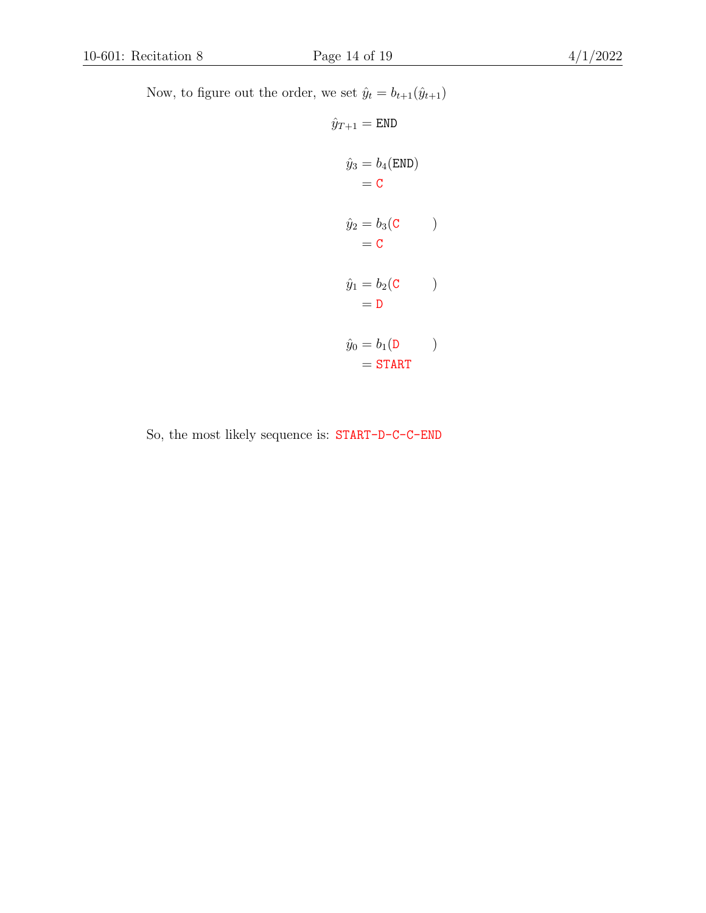Now, to figure out the order, we set  $\hat{y}_t = b_{t+1}(\hat{y}_{t+1})$ 

$$
\hat{y}_{T+1} = \text{END}
$$
\n
$$
\hat{y}_3 = b_4(\text{END})
$$
\n
$$
= \text{C}
$$
\n
$$
\hat{y}_2 = b_3(\text{C})
$$
\n
$$
= \text{C}
$$
\n
$$
\hat{y}_1 = b_2(\text{C})
$$
\n
$$
= \text{D}
$$
\n
$$
\hat{y}_0 = b_1(\text{D})
$$
\n
$$
= \text{START}
$$

So, the most likely sequence is: START-D-C-C-END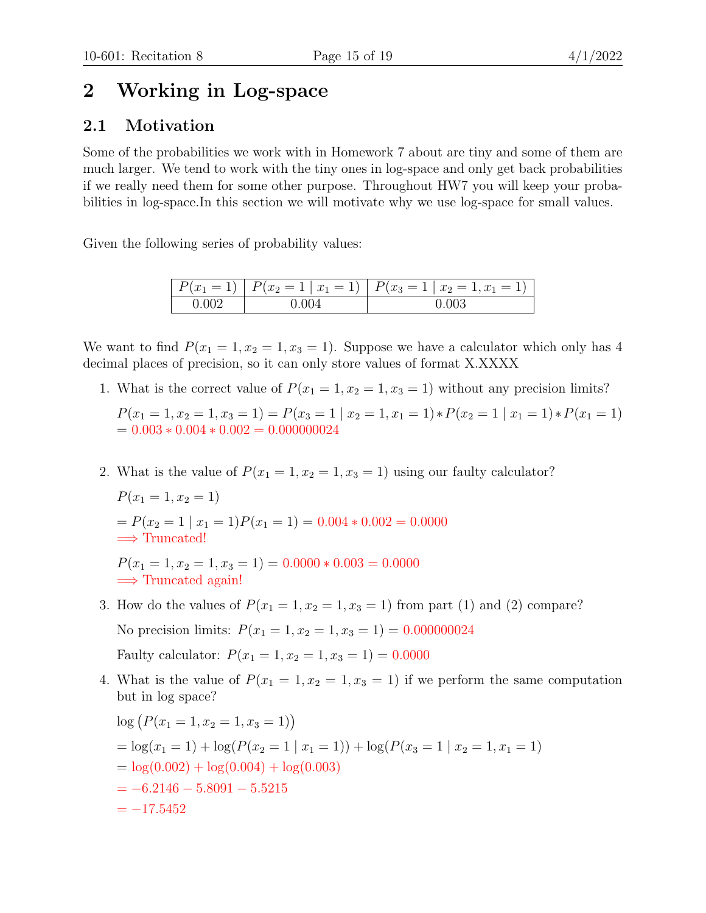## 2 Working in Log-space

### 2.1 Motivation

Some of the probabilities we work with in Homework 7 about are tiny and some of them are much larger. We tend to work with the tiny ones in log-space and only get back probabilities if we really need them for some other purpose. Throughout HW7 you will keep your probabilities in log-space.In this section we will motivate why we use log-space for small values.

Given the following series of probability values:

| $= 11$<br>$ P(x_1$ | $P(x_2 = 1   x_1 = 1)   P(x_3 = 1   x_2 = 1, x_1 = 1)$ |  |  |
|--------------------|--------------------------------------------------------|--|--|
|                    |                                                        |  |  |

We want to find  $P(x_1 = 1, x_2 = 1, x_3 = 1)$ . Suppose we have a calculator which only has 4 decimal places of precision, so it can only store values of format X.XXXX

- 1. What is the correct value of  $P(x_1 = 1, x_2 = 1, x_3 = 1)$  without any precision limits?
	- $P(x_1 = 1, x_2 = 1, x_3 = 1) = P(x_3 = 1 | x_2 = 1, x_1 = 1) * P(x_2 = 1 | x_1 = 1) * P(x_1 = 1)$  $= 0.003 * 0.004 * 0.002 = 0.000000024$
- 2. What is the value of  $P(x_1 = 1, x_2 = 1, x_3 = 1)$  using our faulty calculator?

$$
P(x_1 = 1, x_2 = 1)
$$
  
=  $P(x_2 = 1 | x_1 = 1)P(x_1 = 1) = 0.004 * 0.002 = 0.0000$   
 $\implies$  Truncated!

 $P(x_1 = 1, x_2 = 1, x_3 = 1) = 0.0000 * 0.003 = 0.0000$  $\implies$  Truncated again!

3. How do the values of  $P(x_1 = 1, x_2 = 1, x_3 = 1)$  from part (1) and (2) compare?

No precision limits:  $P(x_1 = 1, x_2 = 1, x_3 = 1) = 0.000000024$ 

Faulty calculator:  $P(x_1 = 1, x_2 = 1, x_3 = 1) = 0.0000$ 

4. What is the value of  $P(x_1 = 1, x_2 = 1, x_3 = 1)$  if we perform the same computation but in log space?

$$
log (P(x1 = 1, x2 = 1, x3 = 1))
$$
  
= log(x<sub>1</sub> = 1) + log(P(x<sub>2</sub> = 1 | x<sub>1</sub> = 1)) + log(P(x<sub>3</sub> = 1 | x<sub>2</sub> = 1, x<sub>1</sub> = 1)  
= log(0.002) + log(0.004) + log(0.003)  
= -6.2146 - 5.8091 - 5.5215  
= -17.5452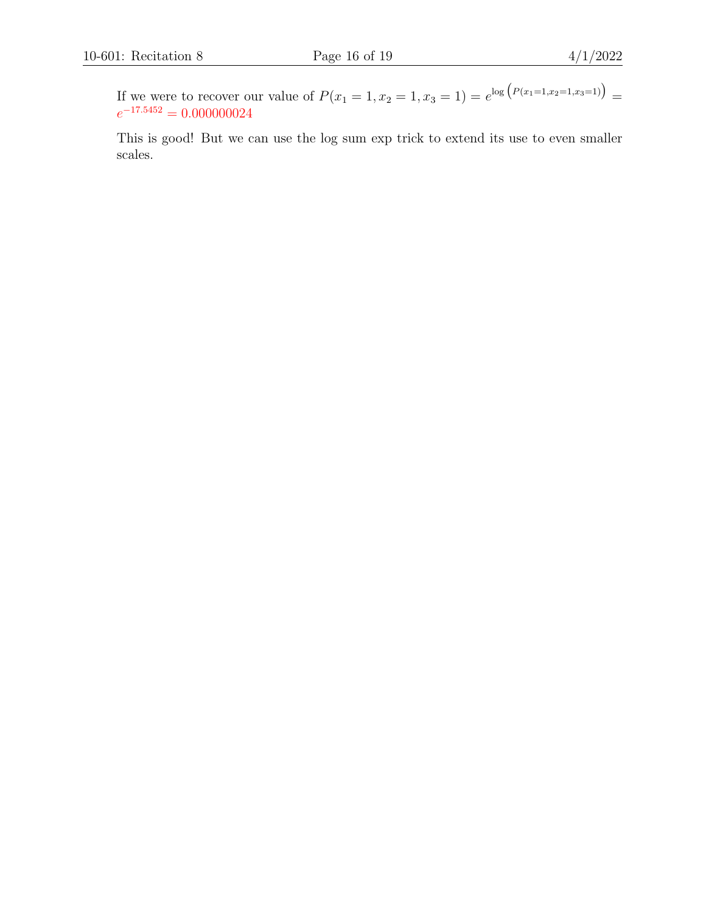If we were to recover our value of  $P(x_1 = 1, x_2 = 1, x_3 = 1) = e^{\log (P(x_1=1,x_2=1,x_3=1))}$  $e^{-17.5452} = 0.000000024$ 

This is good! But we can use the log sum exp trick to extend its use to even smaller scales.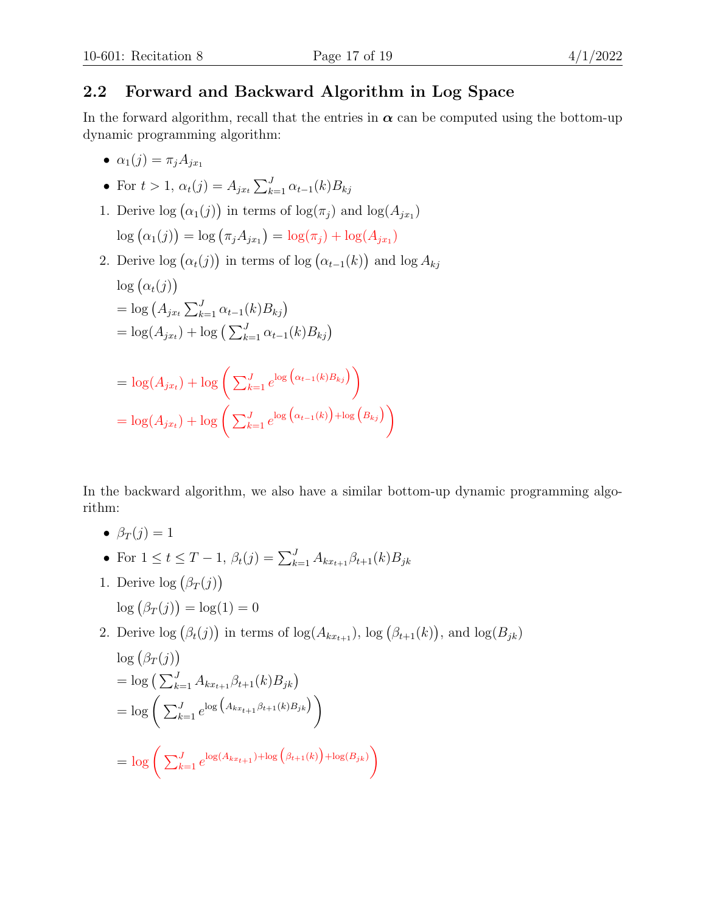#### 2.2 Forward and Backward Algorithm in Log Space

In the forward algorithm, recall that the entries in  $\alpha$  can be computed using the bottom-up dynamic programming algorithm:

- $\alpha_1(j) = \pi_i A_{i x_1}$
- For  $t > 1$ ,  $\alpha_t(j) = A_{jx_t} \sum_{k=1}^{J} \alpha_{t-1}(k) B_{kj}$
- 1. Derive  $\log (\alpha_1(j))$  in terms of  $\log(\pi_j)$  and  $\log(A_{jx_1})$  $\log (\alpha_1(j)) = \log (\pi_j A_{jx_1}) = \log(\pi_j) + \log(A_{jx_1})$
- 2. Derive  $log(\alpha_t(j))$  in terms of  $log(\alpha_{t-1}(k))$  and  $log A_{kj}$  $\log(\alpha_t(j))$  $=$  log  $(A_{jx_t} \sum_{k=1}^{J} \alpha_{t-1}(k) B_{kj})$  $= \log(A_{jx_t}) + \log\left(\sum_{k=1}^{J} \alpha_{t-1}(k)B_{kj}\right)$  $= \log(A_{jx_t}) + \log \left( \sum_{k=1}^{J} e^{\log (\alpha_{t-1}(k)B_{kj})} \right)$  $= \log(A_{jx_t}) + \log \left( \sum_{k=1}^{J} e^{\log (\alpha_{t-1}(k))} + \log (B_{kj}) \right)$

In the backward algorithm, we also have a similar bottom-up dynamic programming algorithm:

- $\beta_T(i) = 1$
- For  $1 \le t \le T-1$ ,  $\beta_t(j) = \sum_{k=1}^J A_{kx_{t+1}} \beta_{t+1}(k) B_{jk}$
- 1. Derive  $log(\beta_T(j))$ 
	- $\log (\beta_T(j)) = \log(1) = 0$
- 2. Derive  $\log (\beta_t(j))$  in terms of  $\log(A_{kx_{t+1}})$ ,  $\log (\beta_{t+1}(k))$ , and  $\log(B_{jk})$

$$
\log (\beta_T(j))
$$
  
=  $\log (\sum_{k=1}^J A_{kx_{t+1}} \beta_{t+1}(k) B_{jk})$   
=  $\log (\sum_{k=1}^J e^{\log (A_{kx_{t+1}} \beta_{t+1}(k) B_{jk})})$   
=  $\log (\sum_{k=1}^J e^{\log(A_{kx_{t+1}}) + \log (\beta_{t+1}(k))} + \log(B_{jk}))$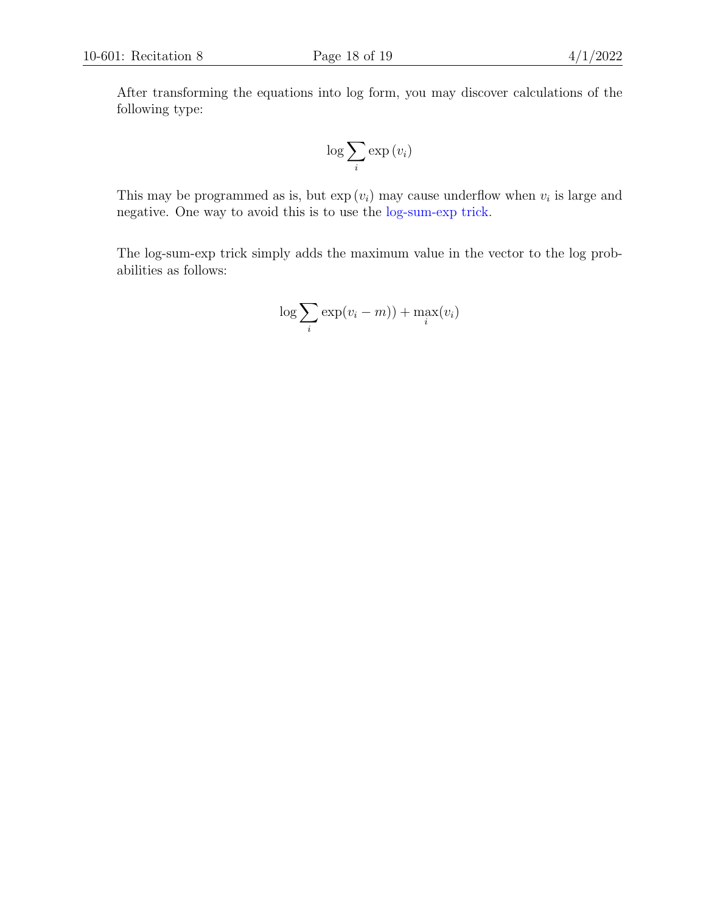After transforming the equations into log form, you may discover calculations of the following type:

$$
\log \sum_{i} \exp(v_i)
$$

This may be programmed as is, but  $\exp(v_i)$  may cause underflow when  $v_i$  is large and negative. One way to avoid this is to use the [log-sum-exp trick.](https://www.xarg.org/2016/06/the-log-sum-exp-trick-in-machine-learning/)

The log-sum-exp trick simply adds the maximum value in the vector to the log probabilities as follows:

$$
\log \sum_{i} \exp(v_i - m)) + \max_{i}(v_i)
$$